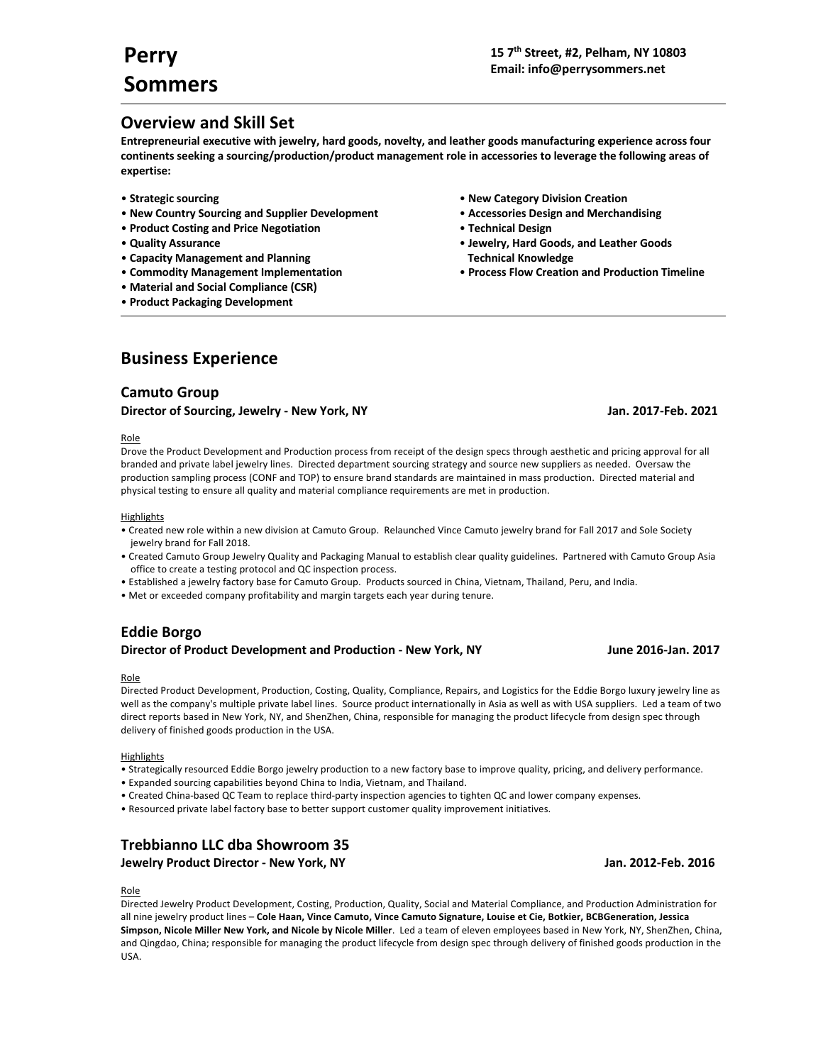# **Overview and Skill Set**

**Entrepreneurial executive with jewelry, hard goods, novelty, and leather goods manufacturing experience across four continents seeking a sourcing/production/product management role in accessories to leverage the following areas of expertise:**

- 
- **New Country Sourcing and Supplier Development Accessories Design and Merchandising**
- **Product Costing and Price Negotiation Technical Design**
- 
- **Capacity Management and Planning Technical Knowledge**
- 
- **Material and Social Compliance (CSR)**
- **Product Packaging Development**
- **Strategic sourcing New Category Division Creation**
	-
	-
- **Quality Assurance Jewelry, Hard Goods, and Leather Goods**
- **Commodity Management Implementation Process Flow Creation and Production Timeline**

# **Business Experience**

## **Camuto Group**

## **Director of Sourcing, Jewelry - New York, NY Jan. 2017-Feb. 2021**

## Role

Drove the Product Development and Production process from receipt of the design specs through aesthetic and pricing approval for all branded and private label jewelry lines. Directed department sourcing strategy and source new suppliers as needed. Oversaw the production sampling process (CONF and TOP) to ensure brand standards are maintained in mass production. Directed material and physical testing to ensure all quality and material compliance requirements are met in production.

## **Highlights**

- Created new role within a new division at Camuto Group. Relaunched Vince Camuto jewelry brand for Fall 2017 and Sole Society jewelry brand for Fall 2018.
- Created Camuto Group Jewelry Quality and Packaging Manual to establish clear quality guidelines. Partnered with Camuto Group Asia office to create a testing protocol and QC inspection process.
- Established a jewelry factory base for Camuto Group. Products sourced in China, Vietnam, Thailand, Peru, and India.
- Met or exceeded company profitability and margin targets each year during tenure.

## **Eddie Borgo Director of Product Development and Production - New York, NY June 2016-Jan. 2017**

## Role

Directed Product Development, Production, Costing, Quality, Compliance, Repairs, and Logistics for the Eddie Borgo luxury jewelry line as well as the company's multiple private label lines. Source product internationally in Asia as well as with USA suppliers. Led a team of two direct reports based in New York, NY, and ShenZhen, China, responsible for managing the product lifecycle from design spec through delivery of finished goods production in the USA.

## **Highlights**

- Strategically resourced Eddie Borgo jewelry production to a new factory base to improve quality, pricing, and delivery performance.
- Expanded sourcing capabilities beyond China to India, Vietnam, and Thailand.
- Created China-based QC Team to replace third-party inspection agencies to tighten QC and lower company expenses.
- Resourced private label factory base to better support customer quality improvement initiatives.

## **Trebbianno LLC dba Showroom 35**

**Jewelry Product Director - New York, NY Jan. 2012-Feb. 2016**

## Role

Directed Jewelry Product Development, Costing, Production, Quality, Social and Material Compliance, and Production Administration for all nine jewelry product lines – **Cole Haan, Vince Camuto, Vince Camuto Signature, Louise et Cie, Botkier, BCBGeneration, Jessica Simpson, Nicole Miller New York, and Nicole by Nicole Miller**. Led a team of eleven employees based in New York, NY, ShenZhen, China, and Qingdao, China; responsible for managing the product lifecycle from design spec through delivery of finished goods production in the USA.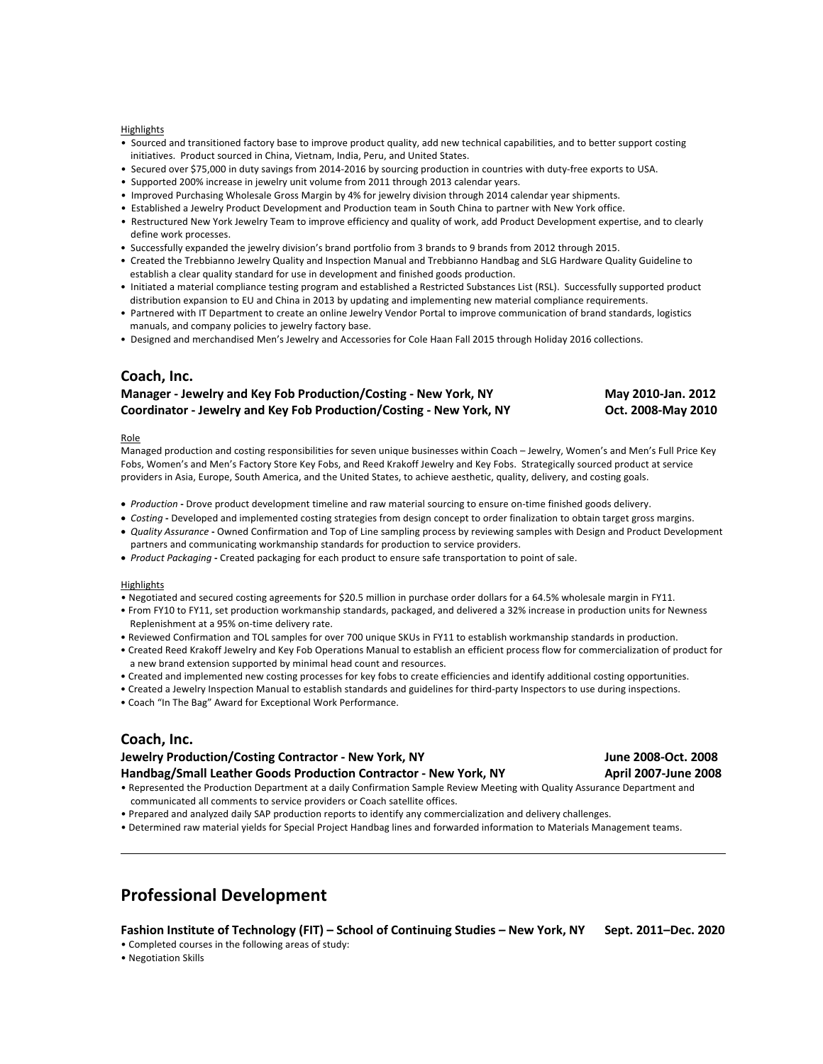### **Highlights**

- Sourced and transitioned factory base to improve product quality, add new technical capabilities, and to better support costing initiatives. Product sourced in China, Vietnam, India, Peru, and United States.
- Secured over \$75,000 in duty savings from 2014-2016 by sourcing production in countries with duty-free exports to USA.
- Supported 200% increase in jewelry unit volume from 2011 through 2013 calendar years.
- Improved Purchasing Wholesale Gross Margin by 4% for jewelry division through 2014 calendar year shipments.
- Established a Jewelry Product Development and Production team in South China to partner with New York office.
- Restructured New York Jewelry Team to improve efficiency and quality of work, add Product Development expertise, and to clearly define work processes.
- Successfully expanded the jewelry division's brand portfolio from 3 brands to 9 brands from 2012 through 2015.
- Created the Trebbianno Jewelry Quality and Inspection Manual and Trebbianno Handbag and SLG Hardware Quality Guideline to establish a clear quality standard for use in development and finished goods production.
- Initiated a material compliance testing program and established a Restricted Substances List (RSL). Successfully supported product distribution expansion to EU and China in 2013 by updating and implementing new material compliance requirements.
- Partnered with IT Department to create an online Jewelry Vendor Portal to improve communication of brand standards, logistics manuals, and company policies to jewelry factory base.
- Designed and merchandised Men's Jewelry and Accessories for Cole Haan Fall 2015 through Holiday 2016 collections.

## **Coach, Inc.**

## **Manager - Jewelry and Key Fob Production/Costing - New York, NY May 2010-Jan. 2012 Coordinator - Jewelry and Key Fob Production/Costing - New York, NY Oct. 2008-May 2010**

### Role

Managed production and costing responsibilities for seven unique businesses within Coach – Jewelry, Women's and Men's Full Price Key Fobs, Women's and Men's Factory Store Key Fobs, and Reed Krakoff Jewelry and Key Fobs. Strategically sourced product at service providers in Asia, Europe, South America, and the United States, to achieve aesthetic, quality, delivery, and costing goals.

- *Production* **-** Drove product development timeline and raw material sourcing to ensure on-time finished goods delivery.
- *Costing* **-** Developed and implemented costing strategies from design concept to order finalization to obtain target gross margins.
- *Quality Assurance* **-** Owned Confirmation and Top of Line sampling process by reviewing samples with Design and Product Development partners and communicating workmanship standards for production to service providers.
- *Product Packaging* **-** Created packaging for each product to ensure safe transportation to point of sale.

### **Highlights**

- Negotiated and secured costing agreements for \$20.5 million in purchase order dollars for a 64.5% wholesale margin in FY11.
- From FY10 to FY11, set production workmanship standards, packaged, and delivered a 32% increase in production units for Newness Replenishment at a 95% on-time delivery rate.
- Reviewed Confirmation and TOL samples for over 700 unique SKUs in FY11 to establish workmanship standards in production.
- Created Reed Krakoff Jewelry and Key Fob Operations Manual to establish an efficient process flow for commercialization of product for a new brand extension supported by minimal head count and resources.
- Created and implemented new costing processes for key fobs to create efficiencies and identify additional costing opportunities.
- Created a Jewelry Inspection Manual to establish standards and guidelines for third-party Inspectors to use during inspections.
- Coach "In The Bag" Award for Exceptional Work Performance.

## **Coach, Inc.**

## **Jewelry Production/Costing Contractor - New York, NY June 2008-Oct. 2008 Handbag/Small Leather Goods Production Contractor - New York, NY April 2007-June 2008**

- Represented the Production Department at a daily Confirmation Sample Review Meeting with Quality Assurance Department and communicated all comments to service providers or Coach satellite offices.
- Prepared and analyzed daily SAP production reports to identify any commercialization and delivery challenges.
- Determined raw material yields for Special Project Handbag lines and forwarded information to Materials Management teams.

# **Professional Development**

**Fashion Institute of Technology (FIT) – School of Continuing Studies – New York, NY Sept. 2011–Dec. 2020**

- Completed courses in the following areas of study:
- Negotiation Skills